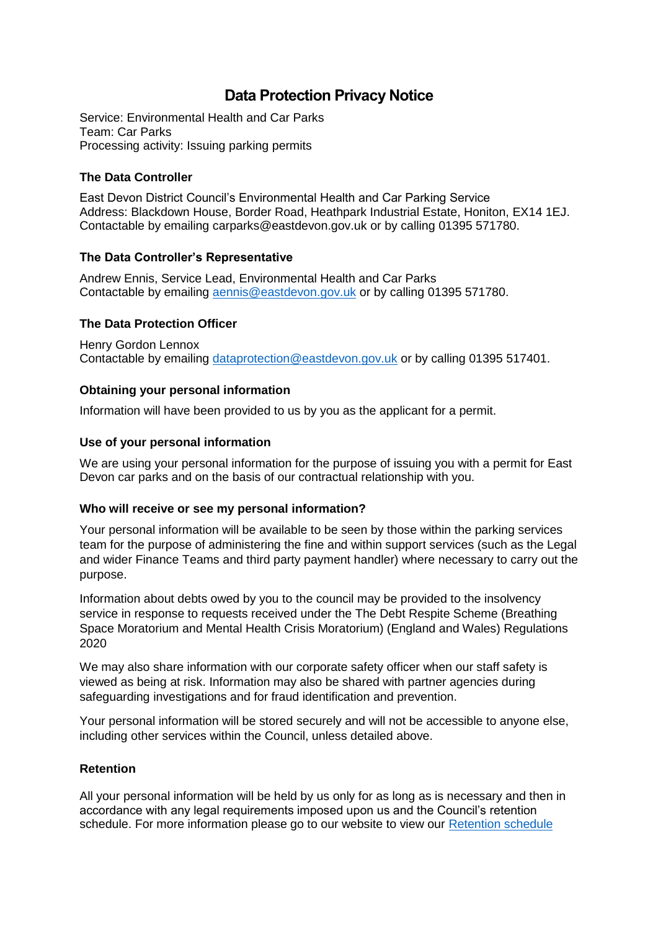# **Data Protection Privacy Notice**

Service: Environmental Health and Car Parks Team: Car Parks Processing activity: Issuing parking permits

## **The Data Controller**

East Devon District Council's Environmental Health and Car Parking Service Address: Blackdown House, Border Road, Heathpark Industrial Estate, Honiton, EX14 1EJ. Contactable by emailing [carparks@eastdevon.gov.uk](mailto:carparks@eastdevon.gov.uk) or by calling 01395 571780.

## **The Data Controller's Representative**

Andrew Ennis, Service Lead, Environmental Health and Car Parks Contactable by emailing [aennis@eastdevon.gov.uk](mailto:aennis@eastdevon.gov.uk) or by calling 01395 571780.

## **The Data Protection Officer**

Henry Gordon Lennox Contactable by emailing [dataprotection@eastdevon.gov.uk](mailto:dataprotection@eastdevon.gov.uk) or by calling 01395 517401.

## **Obtaining your personal information**

Information will have been provided to us by you as the applicant for a permit.

### **Use of your personal information**

We are using your personal information for the purpose of issuing you with a permit for East Devon car parks and on the basis of our contractual relationship with you.

### **Who will receive or see my personal information?**

Your personal information will be available to be seen by those within the parking services team for the purpose of administering the fine and within support services (such as the Legal and wider Finance Teams and third party payment handler) where necessary to carry out the purpose.

Information about debts owed by you to the council may be provided to the insolvency service in response to requests received under the The Debt Respite Scheme (Breathing Space Moratorium and Mental Health Crisis Moratorium) (England and Wales) Regulations 2020

We may also share information with our corporate safety officer when our staff safety is viewed as being at risk. Information may also be shared with partner agencies during safeguarding investigations and for fraud identification and prevention.

Your personal information will be stored securely and will not be accessible to anyone else, including other services within the Council, unless detailed above.

### **Retention**

All your personal information will be held by us only for as long as is necessary and then in accordance with any legal requirements imposed upon us and the Council's retention schedule. For more information please go to our website to view our [Retention schedule](http://eastdevon.gov.uk/access-to-information/data-protection/document-retention-schedules/)